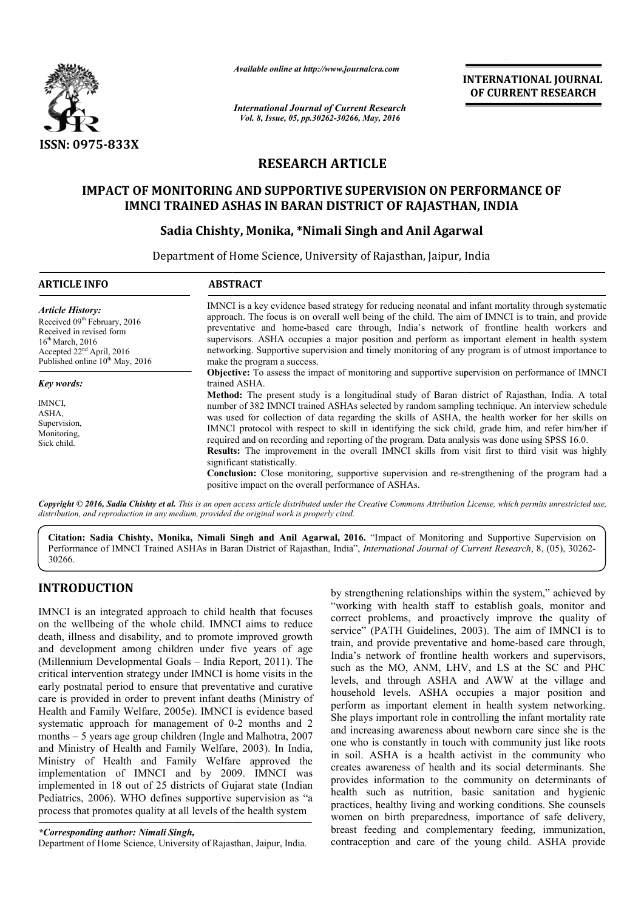

*Available online at http://www.journalcra.com*

# **RESEARCH ARTICLE**

# **IMPACT OF MONITORING AND SUPPORTIVE SUPERVISION ON PERFORMANCE OF IMNCI TRAINED ASHAS IN BARAN DISTRICT OF RAJASTHAN, INDIA**<br>Sadia Chishty, Monika, \*Nimali Singh and Anil Agarwal

# **Sadia Chishty, Monika, \*Nimali Singh and Anil Agarwal**

|                                                                                                                                                                                                                         | unuvic viime ui mip.//www.jvurnuicru.com<br><b>International Journal of Current Research</b>                                                                                                                                                                                                                                                                                                                                                                                                                                                                                                                                                                                                                                                                                                                                                                                                                                                                                                                                  |                                                                                                                                                                                                                                                                                                                                                                                                                                                                                                                                                                                                                                                                                                                                                                                                                                                                                                  | <b>INTERNATIONAL JOURNAL</b><br>OF CURRENT RESEARCH                                                                                                                                                                                                                                                                                                                                                                                                                                                                                                                                                                                                                                                                                                                                                                                                                                                                                                                                                                                                                                                                                                                                                                                                                      |  |  |  |  |  |
|-------------------------------------------------------------------------------------------------------------------------------------------------------------------------------------------------------------------------|-------------------------------------------------------------------------------------------------------------------------------------------------------------------------------------------------------------------------------------------------------------------------------------------------------------------------------------------------------------------------------------------------------------------------------------------------------------------------------------------------------------------------------------------------------------------------------------------------------------------------------------------------------------------------------------------------------------------------------------------------------------------------------------------------------------------------------------------------------------------------------------------------------------------------------------------------------------------------------------------------------------------------------|--------------------------------------------------------------------------------------------------------------------------------------------------------------------------------------------------------------------------------------------------------------------------------------------------------------------------------------------------------------------------------------------------------------------------------------------------------------------------------------------------------------------------------------------------------------------------------------------------------------------------------------------------------------------------------------------------------------------------------------------------------------------------------------------------------------------------------------------------------------------------------------------------|--------------------------------------------------------------------------------------------------------------------------------------------------------------------------------------------------------------------------------------------------------------------------------------------------------------------------------------------------------------------------------------------------------------------------------------------------------------------------------------------------------------------------------------------------------------------------------------------------------------------------------------------------------------------------------------------------------------------------------------------------------------------------------------------------------------------------------------------------------------------------------------------------------------------------------------------------------------------------------------------------------------------------------------------------------------------------------------------------------------------------------------------------------------------------------------------------------------------------------------------------------------------------|--|--|--|--|--|
|                                                                                                                                                                                                                         | Vol. 8, Issue, 05, pp.30262-30266, May, 2016                                                                                                                                                                                                                                                                                                                                                                                                                                                                                                                                                                                                                                                                                                                                                                                                                                                                                                                                                                                  |                                                                                                                                                                                                                                                                                                                                                                                                                                                                                                                                                                                                                                                                                                                                                                                                                                                                                                  |                                                                                                                                                                                                                                                                                                                                                                                                                                                                                                                                                                                                                                                                                                                                                                                                                                                                                                                                                                                                                                                                                                                                                                                                                                                                          |  |  |  |  |  |
| <b>ISSN: 0975-833X</b>                                                                                                                                                                                                  |                                                                                                                                                                                                                                                                                                                                                                                                                                                                                                                                                                                                                                                                                                                                                                                                                                                                                                                                                                                                                               |                                                                                                                                                                                                                                                                                                                                                                                                                                                                                                                                                                                                                                                                                                                                                                                                                                                                                                  |                                                                                                                                                                                                                                                                                                                                                                                                                                                                                                                                                                                                                                                                                                                                                                                                                                                                                                                                                                                                                                                                                                                                                                                                                                                                          |  |  |  |  |  |
|                                                                                                                                                                                                                         | <b>RESEARCH ARTICLE</b>                                                                                                                                                                                                                                                                                                                                                                                                                                                                                                                                                                                                                                                                                                                                                                                                                                                                                                                                                                                                       |                                                                                                                                                                                                                                                                                                                                                                                                                                                                                                                                                                                                                                                                                                                                                                                                                                                                                                  |                                                                                                                                                                                                                                                                                                                                                                                                                                                                                                                                                                                                                                                                                                                                                                                                                                                                                                                                                                                                                                                                                                                                                                                                                                                                          |  |  |  |  |  |
|                                                                                                                                                                                                                         | <b>IMPACT OF MONITORING AND SUPPORTIVE SUPERVISION ON PERFORMANCE OF</b><br>IMNCI TRAINED ASHAS IN BARAN DISTRICT OF RAJASTHAN, INDIA<br>Sadia Chishty, Monika, *Nimali Singh and Anil Agarwal                                                                                                                                                                                                                                                                                                                                                                                                                                                                                                                                                                                                                                                                                                                                                                                                                                |                                                                                                                                                                                                                                                                                                                                                                                                                                                                                                                                                                                                                                                                                                                                                                                                                                                                                                  |                                                                                                                                                                                                                                                                                                                                                                                                                                                                                                                                                                                                                                                                                                                                                                                                                                                                                                                                                                                                                                                                                                                                                                                                                                                                          |  |  |  |  |  |
|                                                                                                                                                                                                                         | Department of Home Science, University of Rajasthan, Jaipur, India                                                                                                                                                                                                                                                                                                                                                                                                                                                                                                                                                                                                                                                                                                                                                                                                                                                                                                                                                            |                                                                                                                                                                                                                                                                                                                                                                                                                                                                                                                                                                                                                                                                                                                                                                                                                                                                                                  |                                                                                                                                                                                                                                                                                                                                                                                                                                                                                                                                                                                                                                                                                                                                                                                                                                                                                                                                                                                                                                                                                                                                                                                                                                                                          |  |  |  |  |  |
| <b>ARTICLE INFO</b>                                                                                                                                                                                                     | <b>ABSTRACT</b>                                                                                                                                                                                                                                                                                                                                                                                                                                                                                                                                                                                                                                                                                                                                                                                                                                                                                                                                                                                                               |                                                                                                                                                                                                                                                                                                                                                                                                                                                                                                                                                                                                                                                                                                                                                                                                                                                                                                  |                                                                                                                                                                                                                                                                                                                                                                                                                                                                                                                                                                                                                                                                                                                                                                                                                                                                                                                                                                                                                                                                                                                                                                                                                                                                          |  |  |  |  |  |
| <b>Article History:</b><br>Received 09 <sup>th</sup> February, 2016<br>Received in revised form<br>16 <sup>th</sup> March, 2016<br>Accepted 22 <sup>nd</sup> April, 2016<br>Published online 10 <sup>th</sup> May, 2016 | make the program a success.                                                                                                                                                                                                                                                                                                                                                                                                                                                                                                                                                                                                                                                                                                                                                                                                                                                                                                                                                                                                   |                                                                                                                                                                                                                                                                                                                                                                                                                                                                                                                                                                                                                                                                                                                                                                                                                                                                                                  | IMNCI is a key evidence based strategy for reducing neonatal and infant mortality through systematic<br>approach. The focus is on overall well being of the child. The aim of IMNCI is to train, and provide<br>preventative and home-based care through, India's network of frontline health workers and<br>supervisors. ASHA occupies a major position and perform as important element in health system<br>networking. Supportive supervision and timely monitoring of any program is of utmost importance to                                                                                                                                                                                                                                                                                                                                                                                                                                                                                                                                                                                                                                                                                                                                                         |  |  |  |  |  |
| <b>Key words:</b><br>IMNCI,<br>ASHA,<br>Supervision,<br>Monitoring,<br>Sick child.                                                                                                                                      | trained ASHA.<br>significant statistically.                                                                                                                                                                                                                                                                                                                                                                                                                                                                                                                                                                                                                                                                                                                                                                                                                                                                                                                                                                                   | <b>Objective:</b> To assess the impact of monitoring and supportive supervision on performance of IMNCI<br>Method: The present study is a longitudinal study of Baran district of Rajasthan, India. A total<br>number of 382 IMNCI trained ASHAs selected by random sampling technique. An interview schedule<br>was used for collection of data regarding the skills of ASHA, the health worker for her skills on<br>IMNCI protocol with respect to skill in identifying the sick child, grade him, and refer him/her if<br>required and on recording and reporting of the program. Data analysis was done using SPSS 16.0.<br>Results: The improvement in the overall IMNCI skills from visit first to third visit was highly<br><b>Conclusion:</b> Close monitoring, supportive supervision and re-strengthening of the program had a<br>positive impact on the overall performance of ASHAs. |                                                                                                                                                                                                                                                                                                                                                                                                                                                                                                                                                                                                                                                                                                                                                                                                                                                                                                                                                                                                                                                                                                                                                                                                                                                                          |  |  |  |  |  |
|                                                                                                                                                                                                                         | distribution, and reproduction in any medium, provided the original work is properly cited.                                                                                                                                                                                                                                                                                                                                                                                                                                                                                                                                                                                                                                                                                                                                                                                                                                                                                                                                   |                                                                                                                                                                                                                                                                                                                                                                                                                                                                                                                                                                                                                                                                                                                                                                                                                                                                                                  | Copyright © 2016, Sadia Chishty et al. This is an open access article distributed under the Creative Commons Attribution License, which permits unrestricted use,<br>Citation: Sadia Chishty, Monika, Nimali Singh and Anil Agarwal, 2016. "Impact of Monitoring and Supportive Supervision on<br>Performance of IMNCI Trained ASHAs in Baran District of Rajasthan, India", International Journal of Current Research, 8, (05), 30262-                                                                                                                                                                                                                                                                                                                                                                                                                                                                                                                                                                                                                                                                                                                                                                                                                                  |  |  |  |  |  |
| 30266.                                                                                                                                                                                                                  |                                                                                                                                                                                                                                                                                                                                                                                                                                                                                                                                                                                                                                                                                                                                                                                                                                                                                                                                                                                                                               |                                                                                                                                                                                                                                                                                                                                                                                                                                                                                                                                                                                                                                                                                                                                                                                                                                                                                                  |                                                                                                                                                                                                                                                                                                                                                                                                                                                                                                                                                                                                                                                                                                                                                                                                                                                                                                                                                                                                                                                                                                                                                                                                                                                                          |  |  |  |  |  |
| <b>INTRODUCTION</b><br>process that promotes quality at all levels of the health system<br>*Corresponding author: Nimali Singh,                                                                                         | IMNCI is an integrated approach to child health that focuses<br>on the wellbeing of the whole child. IMNCI aims to reduce<br>death, illness and disability, and to promote improved growth<br>and development among children under five years of age<br>(Millennium Developmental Goals - India Report, 2011). The<br>critical intervention strategy under IMNCI is home visits in the<br>early postnatal period to ensure that preventative and curative<br>care is provided in order to prevent infant deaths (Ministry of<br>Health and Family Welfare, 2005e). IMNCI is evidence based<br>systematic approach for management of 0-2 months and 2<br>months - 5 years age group children (Ingle and Malhotra, 2007<br>and Ministry of Health and Family Welfare, 2003). In India,<br>Ministry of Health and Family Welfare approved the<br>implementation of IMNCI and by 2009. IMNCI was<br>implemented in 18 out of 25 districts of Gujarat state (Indian<br>Pediatrics, 2006). WHO defines supportive supervision as "a |                                                                                                                                                                                                                                                                                                                                                                                                                                                                                                                                                                                                                                                                                                                                                                                                                                                                                                  | by strengthening relationships within the system," achieved by<br>"working with health staff to establish goals, monitor and<br>correct problems, and proactively improve the quality of<br>service" (PATH Guidelines, 2003). The aim of IMNCI is to<br>train, and provide preventative and home-based care through,<br>India's network of frontline health workers and supervisors,<br>such as the MO, ANM, LHV, and LS at the SC and PHC<br>levels, and through ASHA and AWW at the village and<br>household levels. ASHA occupies a major position and<br>perform as important element in health system networking.<br>She plays important role in controlling the infant mortality rate<br>and increasing awareness about newborn care since she is the<br>one who is constantly in touch with community just like roots<br>in soil. ASHA is a health activist in the community who<br>creates awareness of health and its social determinants. She<br>provides information to the community on determinants of<br>health such as nutrition, basic sanitation and hygienic<br>practices, healthy living and working conditions. She counsels<br>women on birth preparedness, importance of safe delivery,<br>breast feeding and complementary feeding, immunization, |  |  |  |  |  |
| Department of Home Science, University of Rajasthan, Jaipur, India.                                                                                                                                                     |                                                                                                                                                                                                                                                                                                                                                                                                                                                                                                                                                                                                                                                                                                                                                                                                                                                                                                                                                                                                                               |                                                                                                                                                                                                                                                                                                                                                                                                                                                                                                                                                                                                                                                                                                                                                                                                                                                                                                  | contraception and care of the young child. ASHA provide                                                                                                                                                                                                                                                                                                                                                                                                                                                                                                                                                                                                                                                                                                                                                                                                                                                                                                                                                                                                                                                                                                                                                                                                                  |  |  |  |  |  |

# **INTRODUCTION**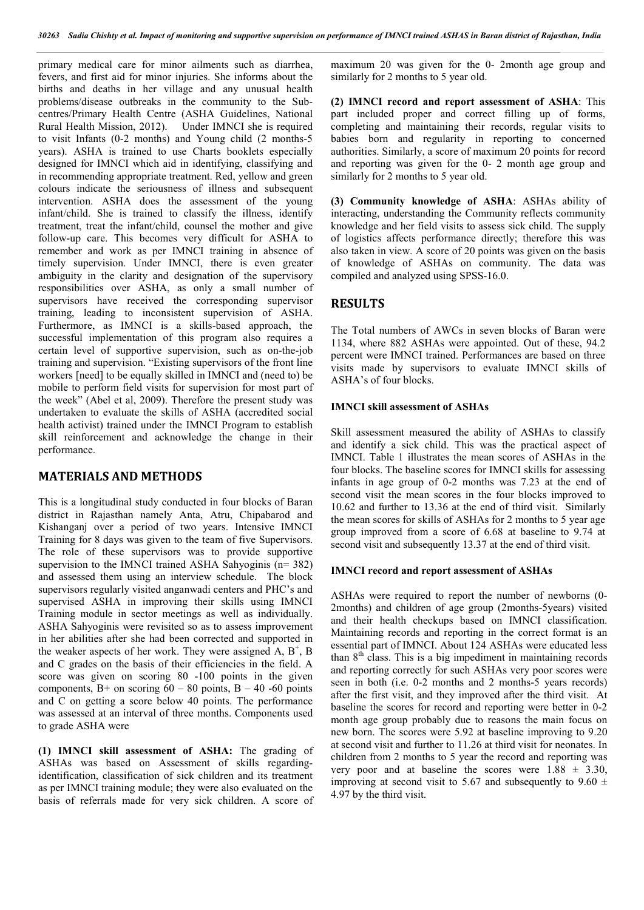primary medical care for minor ailments such as diarrhea, fevers, and first aid for minor injuries. She informs about the births and deaths in her village and any unusual health problems/disease outbreaks in the community to the Subcentres/Primary Health Centre (ASHA Guidelines, National Rural Health Mission, 2012). Under IMNCI she is required to visit Infants (0-2 months) and Young child (2 months-5 years). ASHA is trained to use Charts booklets especially designed for IMNCI which aid in identifying, classifying and in recommending appropriate treatment. Red, yellow and green colours indicate the seriousness of illness and subsequent intervention. ASHA does the assessment of the young infant/child. She is trained to classify the illness, identify treatment, treat the infant/child, counsel the mother and give follow-up care. This becomes very difficult for ASHA to remember and work as per IMNCI training in absence of timely supervision. Under IMNCI, there is even greater ambiguity in the clarity and designation of the supervisory responsibilities over ASHA, as only a small number of supervisors have received the corresponding supervisor training, leading to inconsistent supervision of ASHA. Furthermore, as IMNCI is a skills-based approach, the successful implementation of this program also requires a certain level of supportive supervision, such as on-the-job training and supervision. "Existing supervisors of the front line workers [need] to be equally skilled in IMNCI and (need to) be mobile to perform field visits for supervision for most part of the week" (Abel et al, 2009). Therefore the present study was undertaken to evaluate the skills of ASHA (accredited social health activist) trained under the IMNCI Program to establish skill reinforcement and acknowledge the change in their performance.

# **MATERIALS AND METHODS**

This is a longitudinal study conducted in four blocks of Baran district in Rajasthan namely Anta, Atru, Chipabarod and Kishanganj over a period of two years. Intensive IMNCI Training for 8 days was given to the team of five Supervisors. The role of these supervisors was to provide supportive supervision to the IMNCI trained ASHA Sahyoginis (n= 382) and assessed them using an interview schedule. The block supervisors regularly visited anganwadi centers and PHC's and supervised ASHA in improving their skills using IMNCI Training module in sector meetings as well as individually. ASHA Sahyoginis were revisited so as to assess improvement in her abilities after she had been corrected and supported in the weaker aspects of her work. They were assigned  $A, B^+, B$ and C grades on the basis of their efficiencies in the field. A score was given on scoring 80 -100 points in the given components,  $B<sub>+</sub>$  on scoring  $60 - 80$  points,  $B - 40 - 60$  points and C on getting a score below 40 points. The performance was assessed at an interval of three months. Components used to grade ASHA were

**(1) IMNCI skill assessment of ASHA:** The grading of ASHAs was based on Assessment of skills regardingidentification, classification of sick children and its treatment as per IMNCI training module; they were also evaluated on the basis of referrals made for very sick children. A score of maximum 20 was given for the 0- 2month age group and similarly for 2 months to 5 year old.

**(2) IMNCI record and report assessment of ASHA**: This part included proper and correct filling up of forms, completing and maintaining their records, regular visits to babies born and regularity in reporting to concerned authorities. Similarly, a score of maximum 20 points for record and reporting was given for the 0- 2 month age group and similarly for 2 months to 5 year old.

**(3) Community knowledge of ASHA**: ASHAs ability of interacting, understanding the Community reflects community knowledge and her field visits to assess sick child. The supply of logistics affects performance directly; therefore this was also taken in view. A score of 20 points was given on the basis of knowledge of ASHAs on community. The data was compiled and analyzed using SPSS-16.0.

# **RESULTS**

The Total numbers of AWCs in seven blocks of Baran were 1134, where 882 ASHAs were appointed. Out of these, 94.2 percent were IMNCI trained. Performances are based on three visits made by supervisors to evaluate IMNCI skills of ASHA's of four blocks.

# **IMNCI skill assessment of ASHAs**

Skill assessment measured the ability of ASHAs to classify and identify a sick child. This was the practical aspect of IMNCI. Table 1 illustrates the mean scores of ASHAs in the four blocks. The baseline scores for IMNCI skills for assessing infants in age group of 0-2 months was 7.23 at the end of second visit the mean scores in the four blocks improved to 10.62 and further to 13.36 at the end of third visit. Similarly the mean scores for skills of ASHAs for 2 months to 5 year age group improved from a score of 6.68 at baseline to 9.74 at second visit and subsequently 13.37 at the end of third visit.

#### **IMNCI record and report assessment of ASHAs**

ASHAs were required to report the number of newborns (0- 2months) and children of age group (2months-5years) visited and their health checkups based on IMNCI classification. Maintaining records and reporting in the correct format is an essential part of IMNCI. About 124 ASHAs were educated less than  $8<sup>th</sup>$  class. This is a big impediment in maintaining records and reporting correctly for such ASHAs very poor scores were seen in both (i.e. 0-2 months and 2 months-5 years records) after the first visit, and they improved after the third visit. At baseline the scores for record and reporting were better in 0-2 month age group probably due to reasons the main focus on new born. The scores were 5.92 at baseline improving to 9.20 at second visit and further to 11.26 at third visit for neonates. In children from 2 months to 5 year the record and reporting was very poor and at baseline the scores were  $1.88 \pm 3.30$ , improving at second visit to 5.67 and subsequently to 9.60  $\pm$ 4.97 by the third visit.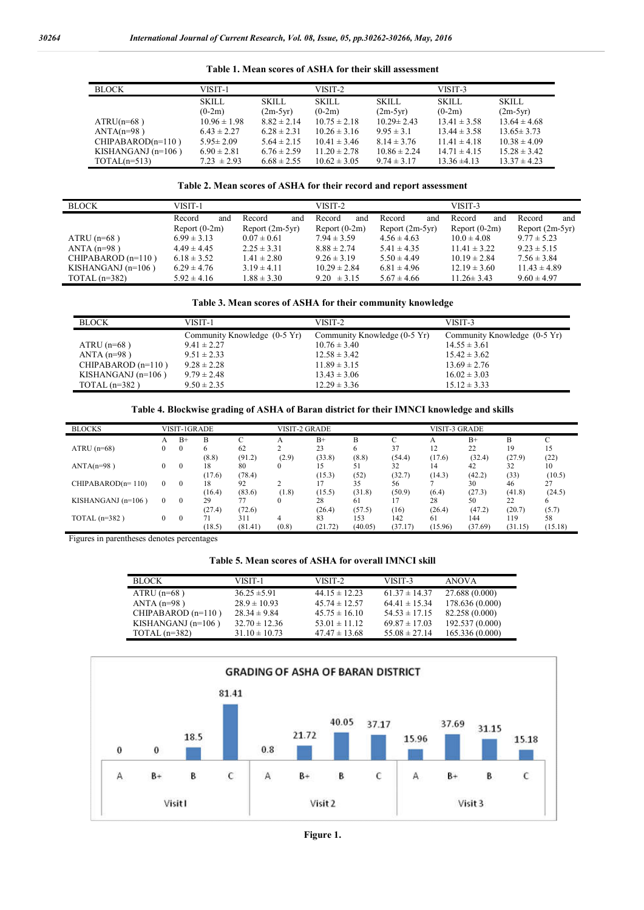| <b>BLOCK</b>         | VISIT-1          |                 | VISIT-2          |                  |                  | VISIT-3          |  |  |
|----------------------|------------------|-----------------|------------------|------------------|------------------|------------------|--|--|
|                      | <b>SKILL</b>     | <b>SKILL</b>    | <b>SKILL</b>     | <b>SKILL</b>     | <b>SKILL</b>     | <b>SKILL</b>     |  |  |
|                      | $(0-2m)$         | $(2m-5yr)$      | $(0-2m)$         | $(2m-5yr)$       | $(0-2m)$         | $(2m-5yr)$       |  |  |
| $ATRU(n=68)$         | $10.96 \pm 1.98$ | $8.82 \pm 2.14$ | $10.75 \pm 2.18$ | $10.29 \pm 2.43$ | $13.41 \pm 3.58$ | $13.64 \pm 4.68$ |  |  |
| $ANTA(n=98)$         | $6.43 \pm 2.27$  | $6.28 \pm 2.31$ | $10.26 \pm 3.16$ | $9.95 \pm 3.1$   | $13.44 \pm 3.58$ | $13.65 \pm 3.73$ |  |  |
| $CHIPABAROD(n=110)$  | $5.95 \pm 2.09$  | $5.64 \pm 2.15$ | $10.41 \pm 3.46$ | $8.14 \pm 3.76$  | $11.41 \pm 4.18$ | $10.38 \pm 4.09$ |  |  |
| KISHANGANJ $(n=106)$ | $6.90 \pm 2.81$  | $6.76 \pm 2.59$ | $11.20 \pm 2.78$ | $10.86 \pm 2.24$ | $14.71 \pm 4.15$ | $15.28 \pm 3.42$ |  |  |
| $TOTAL(n=513)$       | $7.23 \pm 2.93$  | $6.68 \pm 2.55$ | $10.62 \pm 3.05$ | $9.74 \pm 3.17$  | $13.36 \pm 4.13$ | $13.37 \pm 4.23$ |  |  |

**Table 1. Mean scores of ASHA for their skill assessment**

# **Table 2. Mean scores of ASHA for their record and report assessment**

| <b>BLOCK</b>         | VISIT-1         |                   | VISIT-2          |                 | VISIT-3          |                   |  |
|----------------------|-----------------|-------------------|------------------|-----------------|------------------|-------------------|--|
|                      | Record<br>and   | Record<br>and     | Record<br>and    | Record<br>and   | Record<br>and    | Record<br>and     |  |
|                      | Report $(0-2m)$ | Report $(2m-5yr)$ | Report $(0-2m)$  | Report (2m-5yr) | Report $(0-2m)$  | Report $(2m-5yr)$ |  |
| ATRU $(n=68)$        | $6.99 \pm 3.13$ | $0.07 \pm 0.61$   | $7.94 \pm 3.59$  | $4.56 \pm 4.63$ | $10.0 \pm 4.08$  | $9.77 \pm 5.23$   |  |
| ANTA $(n=98)$        | $4.49 \pm 4.45$ | $2.25 \pm 3.31$   | $8.88 \pm 2.74$  | $5.41 \pm 4.35$ | $11.41 \pm 3.22$ | $9.23 \pm 5.15$   |  |
| CHIPABAROD $(n=110)$ | $6.18 \pm 3.52$ | $1.41 \pm 2.80$   | $9.26 \pm 3.19$  | $5.50 \pm 4.49$ | $10.19 \pm 2.84$ | $7.56 \pm 3.84$   |  |
| KISHANGANJ $(n=106)$ | $6.29 \pm 4.76$ | $3.19 \pm 4.11$   | $10.29 \pm 2.84$ | $6.81 \pm 4.96$ | $12.19 \pm 3.60$ | $11.43 \pm 4.89$  |  |
| TOTAL $(n=382)$      | $5.92 \pm 4.16$ | $1.88 \pm 3.30$   | $9.20 \pm 3.15$  | $5.67 \pm 4.66$ | $11.26 \pm 3.43$ | $9.60 \pm 4.97$   |  |

# **Table 3. Mean scores of ASHA for their community knowledge**

| <b>BLOCK</b>         | VISIT-1                      | VISIT-2                      | VISIT-3                      |
|----------------------|------------------------------|------------------------------|------------------------------|
|                      | Community Knowledge (0-5 Yr) | Community Knowledge (0-5 Yr) | Community Knowledge (0-5 Yr) |
| ATRU $(n=68)$        | $9.41 \pm 2.27$              | $10.76 \pm 3.40$             | $14.55 \pm 3.61$             |
| ANTA $(n=98)$        | $9.51 \pm 2.33$              | $12.58 \pm 3.42$             | $15.42 \pm 3.62$             |
| CHIPABAROD $(n=110)$ | $9.28 \pm 2.28$              | $11.89 \pm 3.15$             | $13.69 \pm 2.76$             |
| KISHANGANJ $(n=106)$ | $9.79 \pm 2.48$              | $13.43 \pm 3.06$             | $16.02 \pm 3.03$             |
| TOTAL $(n=382)$      | $9.50 \pm 2.35$              | $12.29 \pm 3.36$             | $15.12 \pm 3.33$             |

#### **Table 4. Blockwise grading of ASHA of Baran district for their IMNCI knowledge and skills**

| <b>BLOCKS</b>        |          | <b>VISIT-1GRADE</b> |        |         | <b>VISIT-2 GRADE</b> |         |         |         | VISIT-3 GRADE |         |         |         |
|----------------------|----------|---------------------|--------|---------|----------------------|---------|---------|---------|---------------|---------|---------|---------|
|                      | А        | $B+$                | B      |         |                      | $B+$    | B       |         | А             | $B+$    | B       |         |
| ATRU $(n=68)$        | 0        | $\theta$            | 6      | 62      |                      | 23      | 6       | 37      | 12            | 22      | 19      | 15      |
|                      |          |                     | (8.8)  | (91.2)  | (2.9)                | (33.8)  | (8.8)   | (54.4)  | (17.6)        | (32.4)  | (27.9)  | (22)    |
| $ANTA(n=98)$         | 0        | $\Omega$            | 18     | 80      |                      |         | 51      | 32      | 14            | 42      | 32      | 10      |
|                      |          |                     | (17.6) | (78.4)  |                      | (15.3)  | (52)    | (32.7)  | (14.3)        | (42.2)  | (33)    | (10.5)  |
| $CHIPABAROD(n=110)$  | $\Omega$ | $\theta$            | 18     | 92      |                      |         | 35      | 56      |               | 30      | 46      | 27      |
|                      |          |                     | (16.4) | (83.6)  | (1.8)                | (15.5)  | (31.8)  | (50.9)  | (6.4)         | (27.3)  | (41.8)  | (24.5)  |
| KISHANGANJ $(n=106)$ | $\Omega$ | $\theta$            | 29     | 77      | $\Omega$             | 28      | 61      |         | 28            | 50      | 22      |         |
|                      |          |                     | (27.4) | (72.6)  |                      | (26.4)  | (57.5)  | (16)    | (26.4)        | (47.2)  | (20.7)  | (5.7)   |
| TOTAL $(n=382)$      | $\Omega$ | $\Omega$            | 71     | 311     | Δ                    | 83      | 153     | 142     | 61            | 144     | 119     | 58      |
|                      |          |                     | (18.5) | (81.41) | (0.8)                | (21.72) | (40.05) | (37.17) | (15.96)       | (37.69) | (31.15) | (15.18) |

Figures in parentheses denotes percentages

#### **Table 5. Mean scores of ASHA for overall IMNCI skill**

| <b>BLOCK</b>         | VISIT-1           | VISIT-2           | VISIT-3           | <b>ANOVA</b>    |
|----------------------|-------------------|-------------------|-------------------|-----------------|
| ATRU $(n=68)$        | $36.25 \pm 5.91$  | $44.15 \pm 12.23$ | $61.37 \pm 14.37$ | 27.688 (0.000)  |
| ANTA $(n=98)$        | $28.9 \pm 10.93$  | $45.74 \pm 12.57$ | $64.41 \pm 15.34$ | 178.636 (0.000) |
| CHIPABAROD $(n=110)$ | $28.34 \pm 9.84$  | $45.75 \pm 16.10$ | $54.53 \pm 17.15$ | 82.258 (0.000)  |
| KISHANGANJ $(n=106)$ | $32.70 \pm 12.36$ | $53.01 \pm 11.12$ | $69.87 \pm 17.03$ | 192.537 (0.000) |
| TOTAL $(n=382)$      | $31.10 \pm 10.73$ | $47.47 \pm 13.68$ | $55.08 \pm 27.14$ | 165.336 (0.000) |



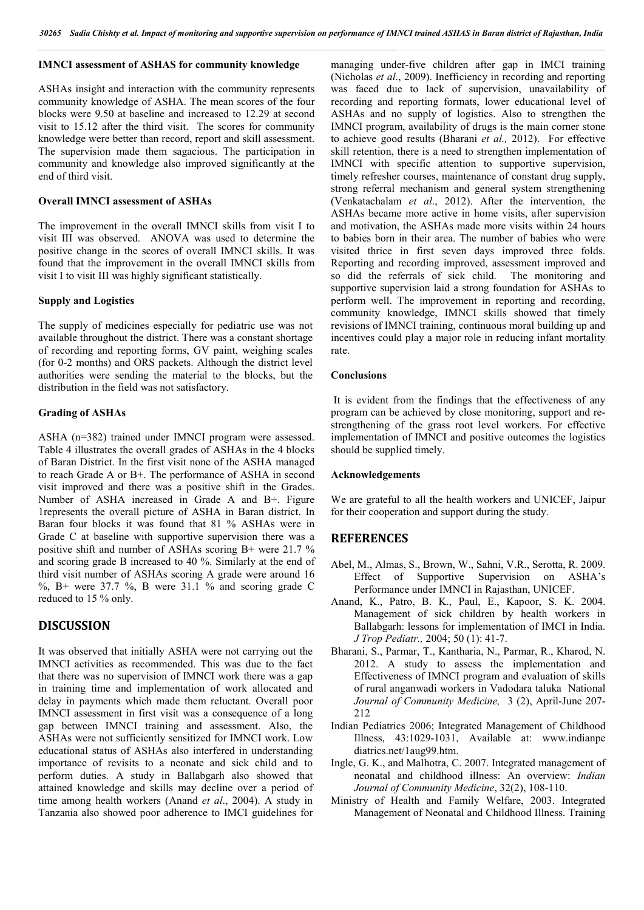# **IMNCI assessment of ASHAS for community knowledge**

ASHAs insight and interaction with the community represents community knowledge of ASHA. The mean scores of the four blocks were 9.50 at baseline and increased to 12.29 at second visit to 15.12 after the third visit. The scores for community knowledge were better than record, report and skill assessment. The supervision made them sagacious. The participation in community and knowledge also improved significantly at the end of third visit.

# **Overall IMNCI assessment of ASHAs**

The improvement in the overall IMNCI skills from visit I to visit III was observed. ANOVA was used to determine the positive change in the scores of overall IMNCI skills. It was found that the improvement in the overall IMNCI skills from visit I to visit III was highly significant statistically.

# **Supply and Logistics**

The supply of medicines especially for pediatric use was not available throughout the district. There was a constant shortage of recording and reporting forms, GV paint, weighing scales (for 0-2 months) and ORS packets. Although the district level authorities were sending the material to the blocks, but the distribution in the field was not satisfactory.

#### **Grading of ASHAs**

ASHA (n=382) trained under IMNCI program were assessed. Table 4 illustrates the overall grades of ASHAs in the 4 blocks of Baran District. In the first visit none of the ASHA managed to reach Grade A or B+. The performance of ASHA in second visit improved and there was a positive shift in the Grades. Number of ASHA increased in Grade A and B+. Figure 1represents the overall picture of ASHA in Baran district. In Baran four blocks it was found that 81 % ASHAs were in Grade C at baseline with supportive supervision there was a positive shift and number of ASHAs scoring B+ were 21.7 % and scoring grade B increased to 40 %. Similarly at the end of third visit number of ASHAs scoring A grade were around 16  $\%$ , B+ were 37.7 %, B were 31.1 % and scoring grade C reduced to 15 % only.

# **DISCUSSION**

It was observed that initially ASHA were not carrying out the IMNCI activities as recommended. This was due to the fact that there was no supervision of IMNCI work there was a gap in training time and implementation of work allocated and delay in payments which made them reluctant. Overall poor IMNCI assessment in first visit was a consequence of a long gap between IMNCI training and assessment. Also, the ASHAs were not sufficiently sensitized for IMNCI work. Low educational status of ASHAs also interfered in understanding importance of revisits to a neonate and sick child and to perform duties. A study in Ballabgarh also showed that attained knowledge and skills may decline over a period of time among health workers (Anand *et al*., 2004). A study in Tanzania also showed poor adherence to IMCI guidelines for

managing under-five children after gap in IMCI training (Nicholas *et al*., 2009). Inefficiency in recording and reporting was faced due to lack of supervision, unavailability of recording and reporting formats, lower educational level of ASHAs and no supply of logistics. Also to strengthen the IMNCI program, availability of drugs is the main corner stone to achieve good results (Bharani *et al.,* 2012). For effective skill retention, there is a need to strengthen implementation of IMNCI with specific attention to supportive supervision, timely refresher courses, maintenance of constant drug supply, strong referral mechanism and general system strengthening (Venkatachalam *et al*., 2012). After the intervention, the ASHAs became more active in home visits, after supervision and motivation, the ASHAs made more visits within 24 hours to babies born in their area. The number of babies who were visited thrice in first seven days improved three folds. Reporting and recording improved, assessment improved and so did the referrals of sick child. The monitoring and supportive supervision laid a strong foundation for ASHAs to perform well. The improvement in reporting and recording, community knowledge, IMNCI skills showed that timely revisions of IMNCI training, continuous moral building up and incentives could play a major role in reducing infant mortality rate.

#### **Conclusions**

It is evident from the findings that the effectiveness of any program can be achieved by close monitoring, support and restrengthening of the grass root level workers. For effective implementation of IMNCI and positive outcomes the logistics should be supplied timely.

#### **Acknowledgements**

We are grateful to all the health workers and UNICEF, Jaipur for their cooperation and support during the study.

# **REFERENCES**

- Abel, M., Almas, S., Brown, W., Sahni, V.R., Serotta, R. 2009. Effect of Supportive Supervision on ASHA's Performance under IMNCI in Rajasthan, UNICEF.
- Anand, K., Patro, B. K., Paul, E., Kapoor, S. K. 2004. Management of sick children by health workers in Ballabgarh: lessons for implementation of IMCI in India. *J Trop Pediatr.,* 2004; 50 (1): 41-7.
- Bharani, S., Parmar, T., Kantharia, N., Parmar, R., Kharod, N. 2012. A study to assess the implementation and Effectiveness of IMNCI program and evaluation of skills of rural anganwadi workers in Vadodara taluka National *Journal of Community Medicine,* 3 (2), April-June 207- 212
- Indian Pediatrics 2006; Integrated Management of Childhood Illness, 43:1029-1031, Available at: www.indianpe diatrics.net/1aug99.htm.
- Ingle, G. K., and Malhotra, C. 2007. Integrated management of neonatal and childhood illness: An overview: *Indian Journal of Community Medicine*, 32(2), 108-110.
- Ministry of Health and Family Welfare, 2003. Integrated Management of Neonatal and Childhood Illness. Training